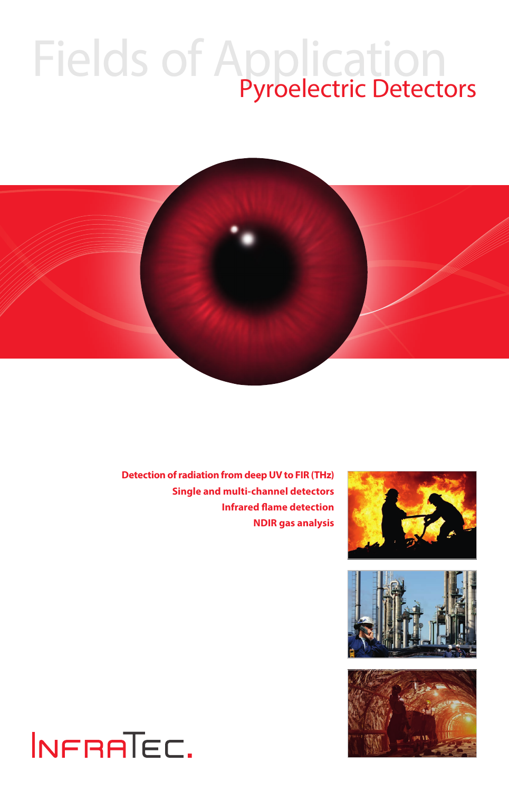# Fields of Application



**Detection of radiation from deep UV to FIR (THz) Single and multi-channel detectors Infrared flame detection NDIR gas analysis**







## INFRATEC.